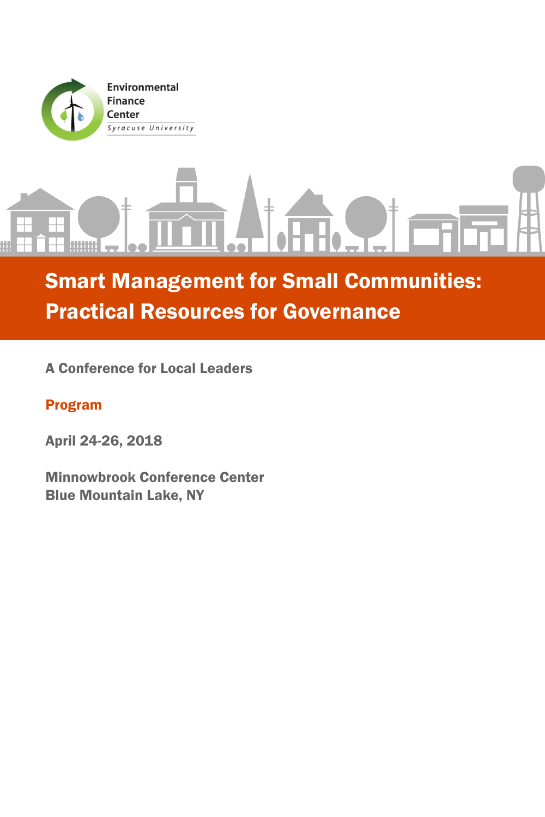

# Smart Management for Small Communities: Practical Resources for Governance

A Conference for Local Leaders

# Program

April 24-26, 2018

Minnowbrook Conference Center Blue Mountain Lake, NY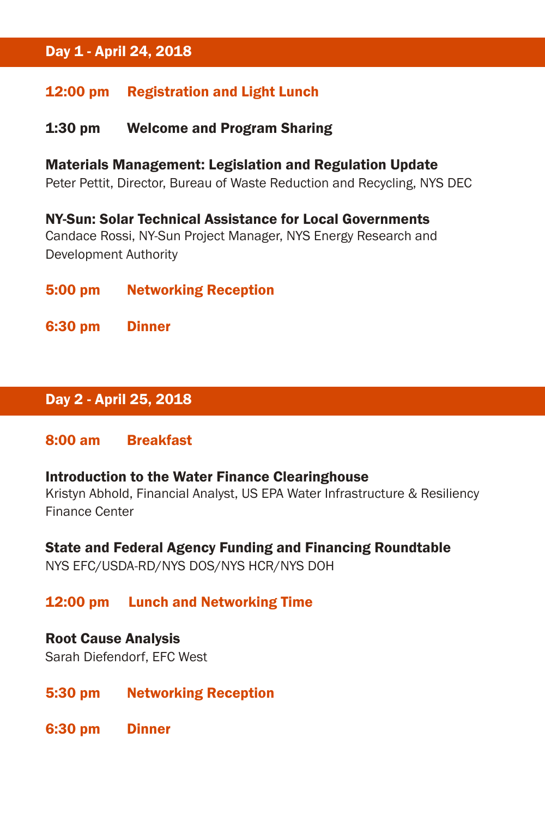# Day 1 - April 24, 2018

#### 12:00 pm Registration and Light Lunch

#### 1:30 pm Welcome and Program Sharing

Materials Management: Legislation and Regulation Update Peter Pettit, Director, Bureau of Waste Reduction and Recycling, NYS DEC

NY-Sun: Solar Technical Assistance for Local Governments Candace Rossi, NY-Sun Project Manager, NYS Energy Research and Development Authority

5:00 pm Networking Reception

6:30 pm Dinner

## Day 2 - April 25, 2018

#### 8:00 am Breakfast

#### Introduction to the Water Finance Clearinghouse

Kristyn Abhold, Financial Analyst, US EPA Water Infrastructure & Resiliency Finance Center

#### State and Federal Agency Funding and Financing Roundtable

NYS EFC/USDA-RD/NYS DOS/NYS HCR/NYS DOH

#### 12:00 pm Lunch and Networking Time

#### Root Cause Analysis

Sarah Diefendorf, EFC West

- 5:30 pm Networking Reception
- 6:30 pm Dinner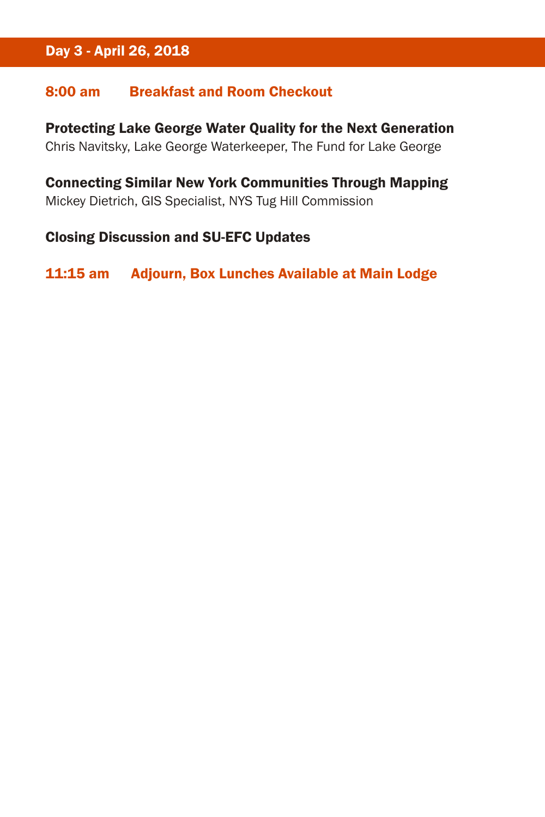# Day 3 - April 26, 2018

### 8:00 am Breakfast and Room Checkout

Protecting Lake George Water Quality for the Next Generation Chris Navitsky, Lake George Waterkeeper, The Fund for Lake George

Connecting Similar New York Communities Through Mapping Mickey Dietrich, GIS Specialist, NYS Tug Hill Commission

### Closing Discussion and SU-EFC Updates

11:15 am Adjourn, Box Lunches Available at Main Lodge